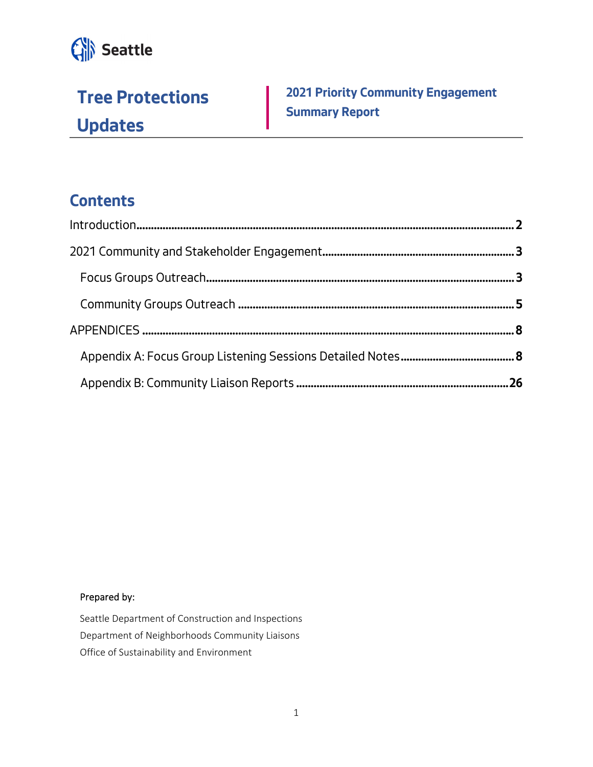

**Tree Protections Updates** 

**2021 Priority Community Engagement Summary Report** 

## **Contents**

#### Prepared by:

Seattle Department of Construction and Inspections Department of Neighborhoods Community Liaisons Office of Sustainability and Environment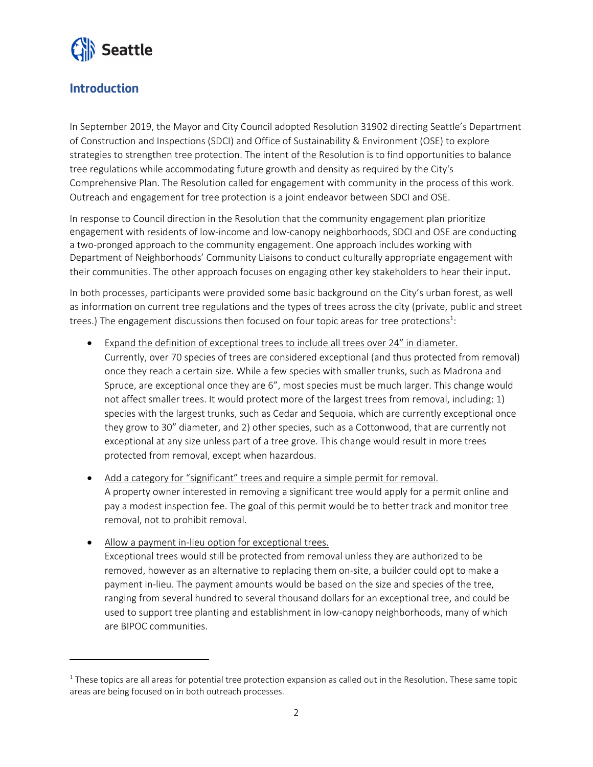

## **Introduction**

In September 2019, the Mayor and City Council adopted Resolution 31902 directing Seattle's Department of Construction and Inspections (SDCI) and Office of Sustainability & Environment (OSE) to explore strategies to strengthen tree protection. The intent of the Resolution is to find opportunities to balance tree regulations while accommodating future growth and density as required by the City's Comprehensive Plan. The Resolution called for engagement with community in the process of this work. Outreach and engagement for tree protection is a joint endeavor between SDCI and OSE.

In response to Council direction in the Resolution that the community engagement plan prioritize engagement with residents of low‐income and low‐canopy neighborhoods, SDCI and OSE are conducting a two‐pronged approach to the community engagement. One approach includes working with Department of Neighborhoods' Community Liaisons to conduct culturally appropriate engagement with their communities. The other approach focuses on engaging other key stakeholders to hear their input.

In both processes, participants were provided some basic background on the City's urban forest, as well as information on current tree regulations and the types of trees across the city (private, public and street trees.) The engagement discussions then focused on four topic areas for tree protections<sup>1</sup>:

- Expand the definition of exceptional trees to include all trees over 24" in diameter. Currently, over 70 species of trees are considered exceptional (and thus protected from removal) once they reach a certain size. While a few species with smaller trunks, such as Madrona and Spruce, are exceptional once they are 6", most species must be much larger. This change would not affect smaller trees. It would protect more of the largest trees from removal, including: 1) species with the largest trunks, such as Cedar and Sequoia, which are currently exceptional once they grow to 30" diameter, and 2) other species, such as a Cottonwood, that are currently not exceptional at any size unless part of a tree grove. This change would result in more trees protected from removal, except when hazardous.
- Add a category for "significant" trees and require a simple permit for removal. A property owner interested in removing a significant tree would apply for a permit online and pay a modest inspection fee. The goal of this permit would be to better track and monitor tree removal, not to prohibit removal.
- Allow a payment in-lieu option for exceptional trees.

Exceptional trees would still be protected from removal unless they are authorized to be removed, however as an alternative to replacing them on‐site, a builder could opt to make a payment in‐lieu. The payment amounts would be based on the size and species of the tree, ranging from several hundred to several thousand dollars for an exceptional tree, and could be used to support tree planting and establishment in low-canopy neighborhoods, many of which are BIPOC communities.

 $1$  These topics are all areas for potential tree protection expansion as called out in the Resolution. These same topic areas are being focused on in both outreach processes.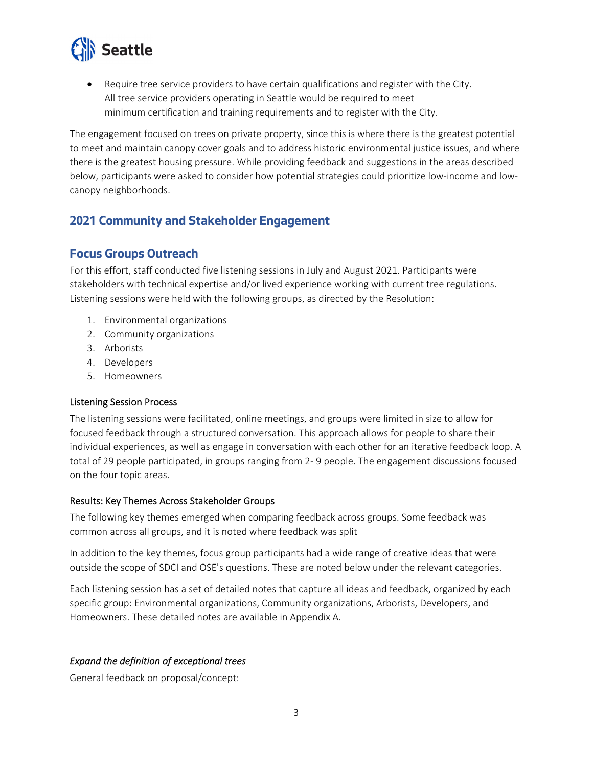

 Require tree service providers to have certain qualifications and register with the City. All tree service providers operating in Seattle would be required to meet minimum certification and training requirements and to register with the City.

The engagement focused on trees on private property, since this is where there is the greatest potential to meet and maintain canopy cover goals and to address historic environmental justice issues, and where there is the greatest housing pressure. While providing feedback and suggestions in the areas described below, participants were asked to consider how potential strategies could prioritize low-income and lowcanopy neighborhoods.

## **2021 Community and Stakeholder Engagement**

#### **Focus Groups Outreach**

For this effort, staff conducted five listening sessions in July and August 2021. Participants were stakeholders with technical expertise and/or lived experience working with current tree regulations. Listening sessions were held with the following groups, as directed by the Resolution:

- 1. Environmental organizations
- 2. Community organizations
- 3. Arborists
- 4. Developers
- 5. Homeowners

#### Listening Session Process

The listening sessions were facilitated, online meetings, and groups were limited in size to allow for focused feedback through a structured conversation. This approach allows for people to share their individual experiences, as well as engage in conversation with each other for an iterative feedback loop. A total of 29 people participated, in groups ranging from 2‐ 9 people. The engagement discussions focused on the four topic areas.

#### Results: Key Themes Across Stakeholder Groups

The following key themes emerged when comparing feedback across groups. Some feedback was common across all groups, and it is noted where feedback was split

In addition to the key themes, focus group participants had a wide range of creative ideas that were outside the scope of SDCI and OSE's questions. These are noted below under the relevant categories.

Each listening session has a set of detailed notes that capture all ideas and feedback, organized by each specific group: Environmental organizations, Community organizations, Arborists, Developers, and Homeowners. These detailed notes are available in Appendix A.

#### *Expand the definition of exceptional trees*

General feedback on proposal/concept: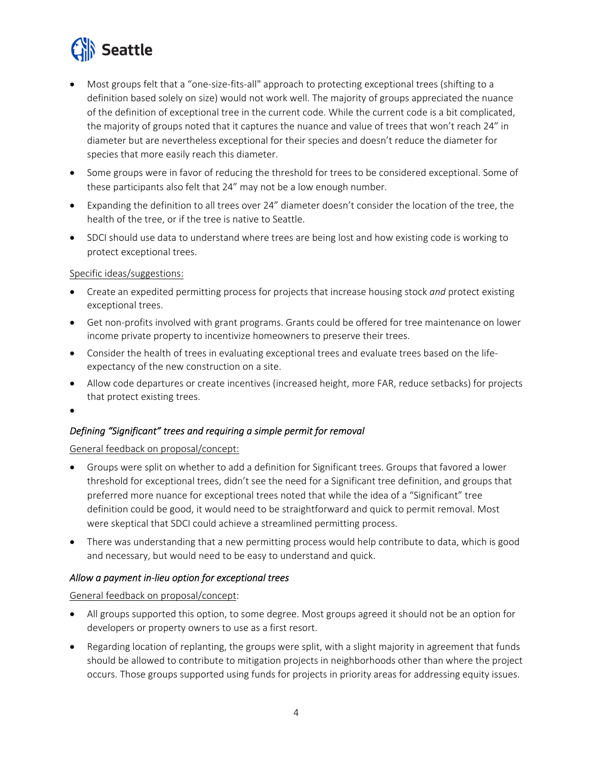

- Most groups felt that a "one-size-fits-all" approach to protecting exceptional trees (shifting to a definition based solely on size) would not work well. The majority of groups appreciated the nuance of the definition of exceptional tree in the current code. While the current code is a bit complicated, the majority of groups noted that it captures the nuance and value of trees that won't reach 24" in diameter but are nevertheless exceptional for their species and doesn't reduce the diameter for species that more easily reach this diameter.
- Some groups were in favor of reducing the threshold for trees to be considered exceptional. Some of these participants also felt that 24" may not be a low enough number.
- Expanding the definition to all trees over 24" diameter doesn't consider the location of the tree, the health of the tree, or if the tree is native to Seattle.
- SDCI should use data to understand where trees are being lost and how existing code is working to protect exceptional trees.

#### Specific ideas/suggestions:

- Create an expedited permitting process for projects that increase housing stock *and* protect existing exceptional trees.
- Get non-profits involved with grant programs. Grants could be offered for tree maintenance on lower income private property to incentivize homeowners to preserve their trees.
- Consider the health of trees in evaluating exceptional trees and evaluate trees based on the lifeexpectancy of the new construction on a site.
- Allow code departures or create incentives (increased height, more FAR, reduce setbacks) for projects that protect existing trees.
- $\bullet$

#### *Defining "Significant" trees and requiring a simple permit for removal*

General feedback on proposal/concept:

- Groups were split on whether to add a definition for Significant trees. Groups that favored a lower threshold for exceptional trees, didn't see the need for a Significant tree definition, and groups that preferred more nuance for exceptional trees noted that while the idea of a "Significant" tree definition could be good, it would need to be straightforward and quick to permit removal. Most were skeptical that SDCI could achieve a streamlined permitting process.
- There was understanding that a new permitting process would help contribute to data, which is good and necessary, but would need to be easy to understand and quick.

#### *Allow a payment in‐lieu option for exceptional trees*

General feedback on proposal/concept:

- All groups supported this option, to some degree. Most groups agreed it should not be an option for developers or property owners to use as a first resort.
- Regarding location of replanting, the groups were split, with a slight majority in agreement that funds should be allowed to contribute to mitigation projects in neighborhoods other than where the project occurs. Those groups supported using funds for projects in priority areas for addressing equity issues.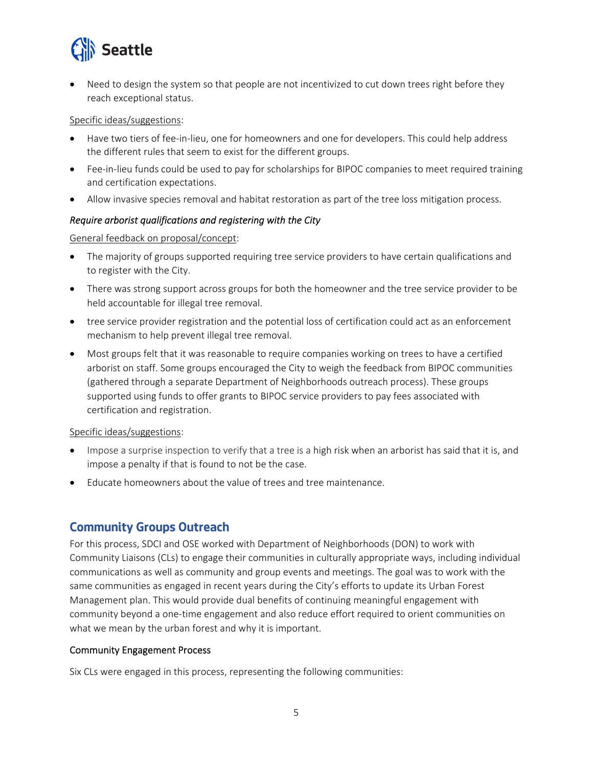

 Need to design the system so that people are not incentivized to cut down trees right before they reach exceptional status.

#### Specific ideas/suggestions:

- Have two tiers of fee-in-lieu, one for homeowners and one for developers. This could help address the different rules that seem to exist for the different groups.
- Fee-in-lieu funds could be used to pay for scholarships for BIPOC companies to meet required training and certification expectations.
- Allow invasive species removal and habitat restoration as part of the tree loss mitigation process.

#### *Require arborist qualifications and registering with the City*

#### General feedback on proposal/concept:

- The majority of groups supported requiring tree service providers to have certain qualifications and to register with the City.
- There was strong support across groups for both the homeowner and the tree service provider to be held accountable for illegal tree removal.
- tree service provider registration and the potential loss of certification could act as an enforcement mechanism to help prevent illegal tree removal.
- Most groups felt that it was reasonable to require companies working on trees to have a certified arborist on staff. Some groups encouraged the City to weigh the feedback from BIPOC communities (gathered through a separate Department of Neighborhoods outreach process). These groups supported using funds to offer grants to BIPOC service providers to pay fees associated with certification and registration.

#### Specific ideas/suggestions:

- Impose a surprise inspection to verify that a tree is a high risk when an arborist has said that it is, and impose a penalty if that is found to not be the case.
- Educate homeowners about the value of trees and tree maintenance.

#### **Community Groups Outreach**

For this process, SDCI and OSE worked with Department of Neighborhoods (DON) to work with Community Liaisons (CLs) to engage their communities in culturally appropriate ways, including individual communications as well as community and group events and meetings. The goal was to work with the same communities as engaged in recent years during the City's efforts to update its Urban Forest Management plan. This would provide dual benefits of continuing meaningful engagement with community beyond a one-time engagement and also reduce effort required to orient communities on what we mean by the urban forest and why it is important.

#### Community Engagement Process

Six CLs were engaged in this process, representing the following communities: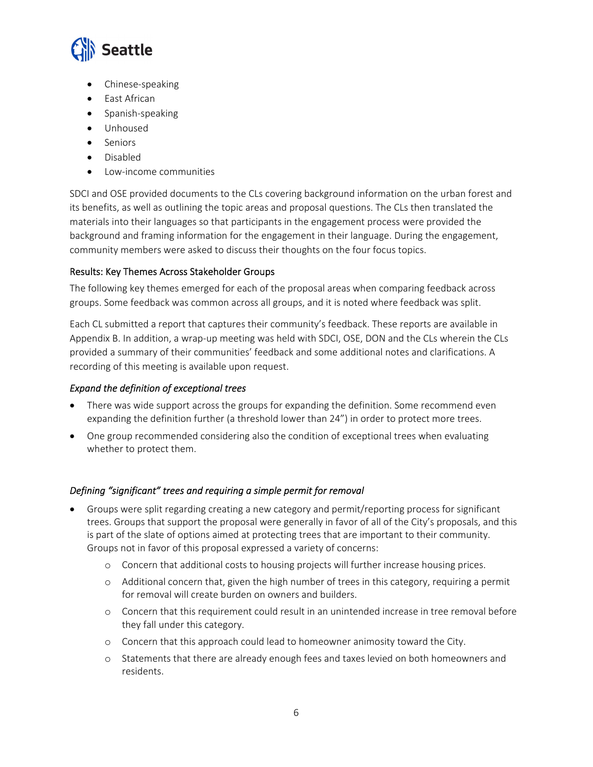

- Chinese‐speaking
- East African
- Spanish-speaking
- Unhoused
- Seniors
- Disabled
- Low-income communities

SDCI and OSE provided documents to the CLs covering background information on the urban forest and its benefits, as well as outlining the topic areas and proposal questions. The CLs then translated the materials into their languages so that participants in the engagement process were provided the background and framing information for the engagement in their language. During the engagement, community members were asked to discuss their thoughts on the four focus topics.

#### Results: Key Themes Across Stakeholder Groups

The following key themes emerged for each of the proposal areas when comparing feedback across groups. Some feedback was common across all groups, and it is noted where feedback was split.

Each CL submitted a report that captures their community's feedback. These reports are available in Appendix B. In addition, a wrap‐up meeting was held with SDCI, OSE, DON and the CLs wherein the CLs provided a summary of their communities' feedback and some additional notes and clarifications. A recording of this meeting is available upon request.

#### *Expand the definition of exceptional trees*

- There was wide support across the groups for expanding the definition. Some recommend even expanding the definition further (a threshold lower than 24") in order to protect more trees.
- One group recommended considering also the condition of exceptional trees when evaluating whether to protect them.

#### *Defining "significant" trees and requiring a simple permit for removal*

- Groups were split regarding creating a new category and permit/reporting process for significant trees. Groups that support the proposal were generally in favor of all of the City's proposals, and this is part of the slate of options aimed at protecting trees that are important to their community. Groups not in favor of this proposal expressed a variety of concerns:
	- o Concern that additional costs to housing projects will further increase housing prices.
	- o Additional concern that, given the high number of trees in this category, requiring a permit for removal will create burden on owners and builders.
	- o Concern that this requirement could result in an unintended increase in tree removal before they fall under this category.
	- o Concern that this approach could lead to homeowner animosity toward the City.
	- o Statements that there are already enough fees and taxes levied on both homeowners and residents.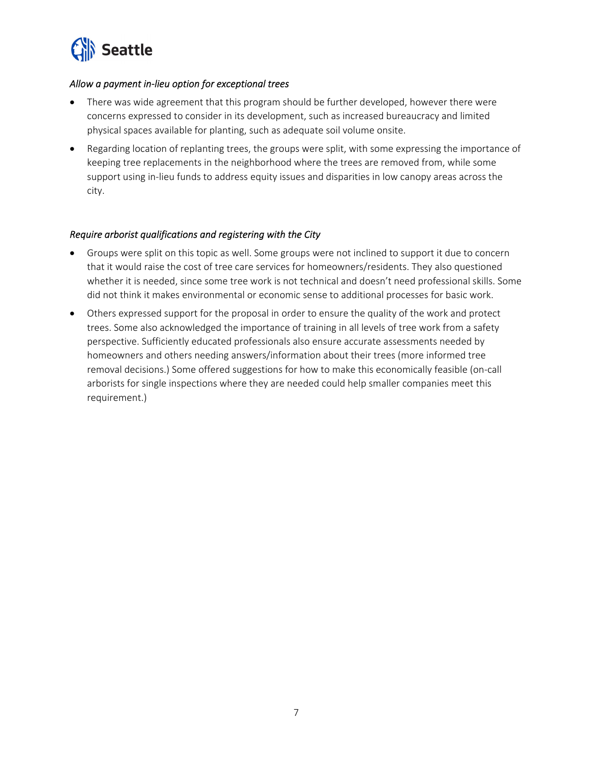

#### *Allow a payment in‐lieu option for exceptional trees*

- There was wide agreement that this program should be further developed, however there were concerns expressed to consider in its development, such as increased bureaucracy and limited physical spaces available for planting, such as adequate soil volume onsite.
- Regarding location of replanting trees, the groups were split, with some expressing the importance of keeping tree replacements in the neighborhood where the trees are removed from, while some support using in-lieu funds to address equity issues and disparities in low canopy areas across the city.

#### *Require arborist qualifications and registering with the City*

- Groups were split on this topic as well. Some groups were not inclined to support it due to concern that it would raise the cost of tree care services for homeowners/residents. They also questioned whether it is needed, since some tree work is not technical and doesn't need professional skills. Some did not think it makes environmental or economic sense to additional processes for basic work.
- Others expressed support for the proposal in order to ensure the quality of the work and protect trees. Some also acknowledged the importance of training in all levels of tree work from a safety perspective. Sufficiently educated professionals also ensure accurate assessments needed by homeowners and others needing answers/information about their trees (more informed tree removal decisions.) Some offered suggestions for how to make this economically feasible (on‐call arborists for single inspections where they are needed could help smaller companies meet this requirement.)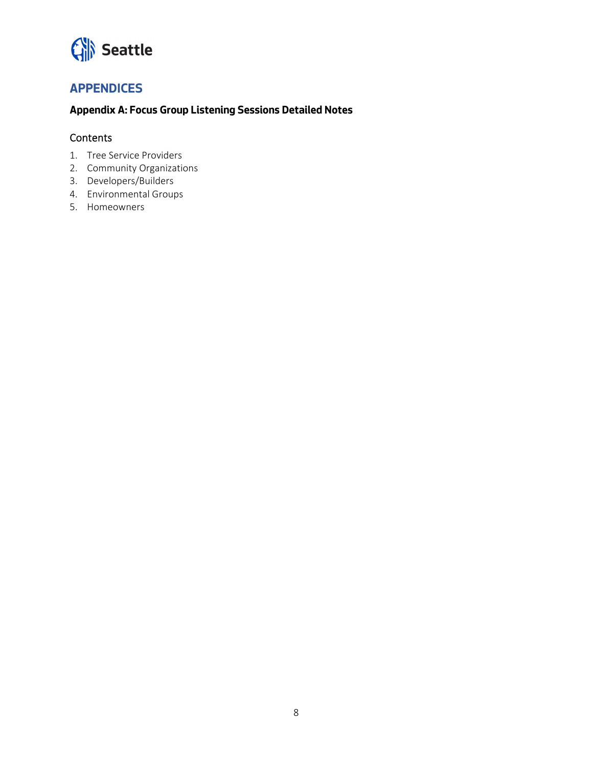# Seattle

## **APPENDICES**

#### **Appendix A: Focus Group Listening Sessions Detailed Notes**

#### **Contents**

- 1. Tree Service Providers
- 2. Community Organizations
- 3. Developers/Builders
- 4. Environmental Groups
- 5. Homeowners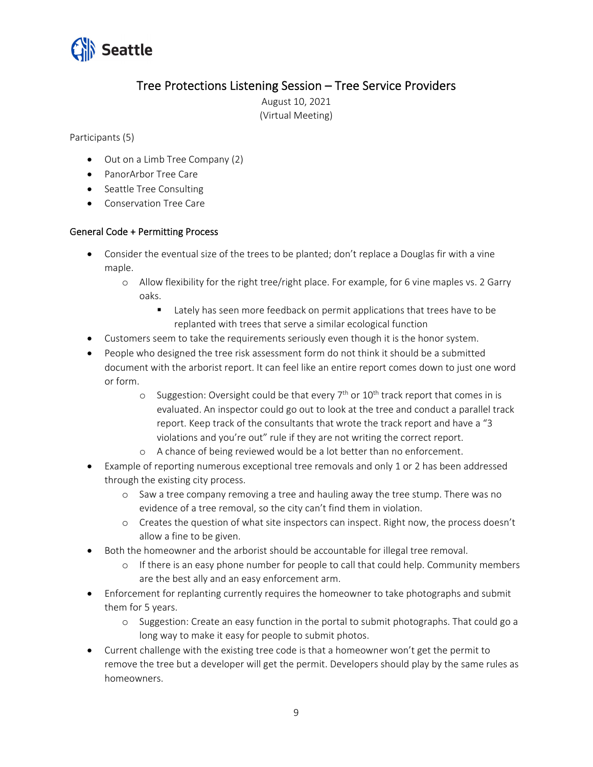

## Tree Protections Listening Session – Tree Service Providers

August 10, 2021 (Virtual Meeting)

Participants (5)

- Out on a Limb Tree Company (2)
- PanorArbor Tree Care
- Seattle Tree Consulting
- Conservation Tree Care

#### General Code + Permitting Process

- Consider the eventual size of the trees to be planted; don't replace a Douglas fir with a vine maple.
	- o Allow flexibility for the right tree/right place. For example, for 6 vine maples vs. 2 Garry oaks.
		- **Lately has seen more feedback on permit applications that trees have to be** replanted with trees that serve a similar ecological function
- Customers seem to take the requirements seriously even though it is the honor system.
- People who designed the tree risk assessment form do not think it should be a submitted document with the arborist report. It can feel like an entire report comes down to just one word or form.
	- $\circ$  Suggestion: Oversight could be that every 7<sup>th</sup> or 10<sup>th</sup> track report that comes in is evaluated. An inspector could go out to look at the tree and conduct a parallel track report. Keep track of the consultants that wrote the track report and have a "3 violations and you're out" rule if they are not writing the correct report.
	- o A chance of being reviewed would be a lot better than no enforcement.
- Example of reporting numerous exceptional tree removals and only 1 or 2 has been addressed through the existing city process.
	- o Saw a tree company removing a tree and hauling away the tree stump. There was no evidence of a tree removal, so the city can't find them in violation.
	- o Creates the question of what site inspectors can inspect. Right now, the process doesn't allow a fine to be given.
- Both the homeowner and the arborist should be accountable for illegal tree removal.
	- o If there is an easy phone number for people to call that could help. Community members are the best ally and an easy enforcement arm.
- Enforcement for replanting currently requires the homeowner to take photographs and submit them for 5 years.
	- o Suggestion: Create an easy function in the portal to submit photographs. That could go a long way to make it easy for people to submit photos.
- Current challenge with the existing tree code is that a homeowner won't get the permit to remove the tree but a developer will get the permit. Developers should play by the same rules as homeowners.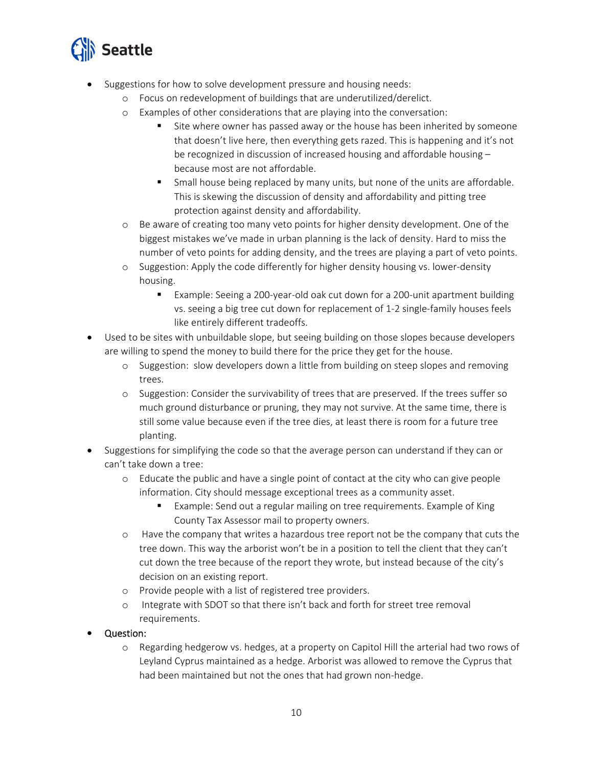

- Suggestions for how to solve development pressure and housing needs:
	- o Focus on redevelopment of buildings that are underutilized/derelict.
	- o Examples of other considerations that are playing into the conversation:
		- Site where owner has passed away or the house has been inherited by someone that doesn't live here, then everything gets razed. This is happening and it's not be recognized in discussion of increased housing and affordable housing – because most are not affordable.
		- Small house being replaced by many units, but none of the units are affordable. This is skewing the discussion of density and affordability and pitting tree protection against density and affordability.
	- o Be aware of creating too many veto points for higher density development. One of the biggest mistakes we've made in urban planning is the lack of density. Hard to miss the number of veto points for adding density, and the trees are playing a part of veto points.
	- o Suggestion: Apply the code differently for higher density housing vs. lower‐density housing.
		- Example: Seeing a 200-year-old oak cut down for a 200-unit apartment building vs. seeing a big tree cut down for replacement of 1‐2 single‐family houses feels like entirely different tradeoffs.
- Used to be sites with unbuildable slope, but seeing building on those slopes because developers are willing to spend the money to build there for the price they get for the house.
	- o Suggestion: slow developers down a little from building on steep slopes and removing trees.
	- o Suggestion: Consider the survivability of trees that are preserved. If the trees suffer so much ground disturbance or pruning, they may not survive. At the same time, there is still some value because even if the tree dies, at least there is room for a future tree planting.
- Suggestions for simplifying the code so that the average person can understand if they can or can't take down a tree:
	- o Educate the public and have a single point of contact at the city who can give people information. City should message exceptional trees as a community asset.
		- Example: Send out a regular mailing on tree requirements. Example of King County Tax Assessor mail to property owners.
	- o Have the company that writes a hazardous tree report not be the company that cuts the tree down. This way the arborist won't be in a position to tell the client that they can't cut down the tree because of the report they wrote, but instead because of the city's decision on an existing report.
	- o Provide people with a list of registered tree providers.
	- o Integrate with SDOT so that there isn't back and forth for street tree removal requirements.
- Question:
	- o Regarding hedgerow vs. hedges, at a property on Capitol Hill the arterial had two rows of Leyland Cyprus maintained as a hedge. Arborist was allowed to remove the Cyprus that had been maintained but not the ones that had grown non-hedge.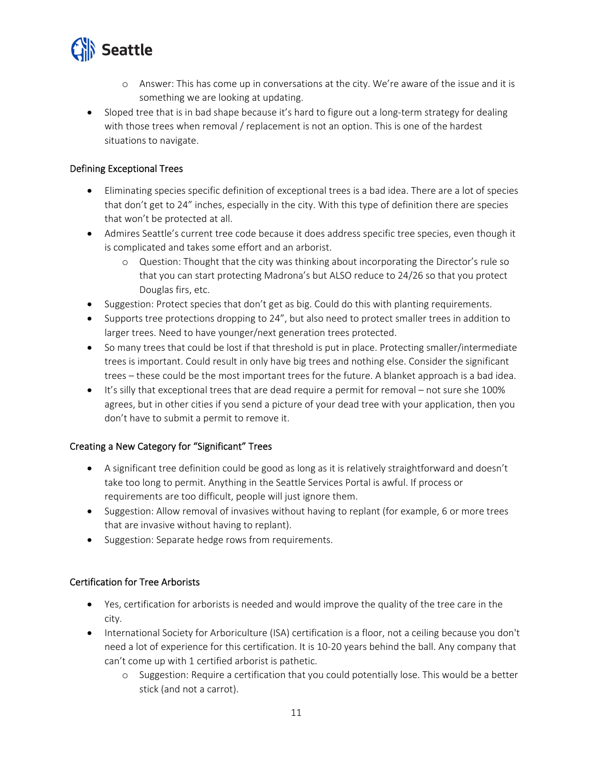

- o Answer: This has come up in conversations at the city. We're aware of the issue and it is something we are looking at updating.
- Sloped tree that is in bad shape because it's hard to figure out a long-term strategy for dealing with those trees when removal / replacement is not an option. This is one of the hardest situations to navigate.

#### Defining Exceptional Trees

- Eliminating species specific definition of exceptional trees is a bad idea. There are a lot of species that don't get to 24" inches, especially in the city. With this type of definition there are species that won't be protected at all.
- Admires Seattle's current tree code because it does address specific tree species, even though it is complicated and takes some effort and an arborist.
	- o Question: Thought that the city was thinking about incorporating the Director's rule so that you can start protecting Madrona's but ALSO reduce to 24/26 so that you protect Douglas firs, etc.
- Suggestion: Protect species that don't get as big. Could do this with planting requirements.
- Supports tree protections dropping to 24", but also need to protect smaller trees in addition to larger trees. Need to have younger/next generation trees protected.
- So many trees that could be lost if that threshold is put in place. Protecting smaller/intermediate trees is important. Could result in only have big trees and nothing else. Consider the significant trees – these could be the most important trees for the future. A blanket approach is a bad idea.
- It's silly that exceptional trees that are dead require a permit for removal not sure she 100% agrees, but in other cities if you send a picture of your dead tree with your application, then you don't have to submit a permit to remove it.

#### Creating a New Category for "Significant" Trees

- A significant tree definition could be good as long as it is relatively straightforward and doesn't take too long to permit. Anything in the Seattle Services Portal is awful. If process or requirements are too difficult, people will just ignore them.
- Suggestion: Allow removal of invasives without having to replant (for example, 6 or more trees that are invasive without having to replant).
- Suggestion: Separate hedge rows from requirements.

#### Certification for Tree Arborists

- Yes, certification for arborists is needed and would improve the quality of the tree care in the city.
- International Society for Arboriculture (ISA) certification is a floor, not a ceiling because you don't need a lot of experience for this certification. It is 10‐20 years behind the ball. Any company that can't come up with 1 certified arborist is pathetic.
	- o Suggestion: Require a certification that you could potentially lose. This would be a better stick (and not a carrot).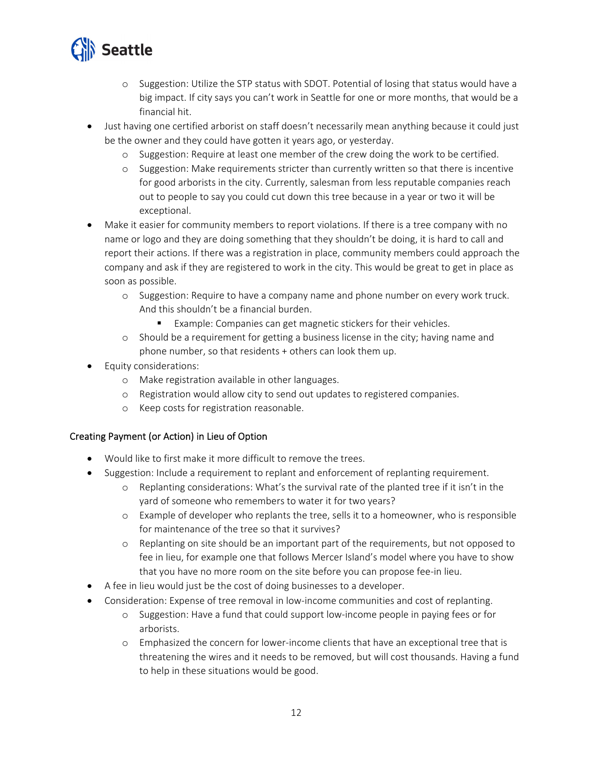

- o Suggestion: Utilize the STP status with SDOT. Potential of losing that status would have a big impact. If city says you can't work in Seattle for one or more months, that would be a financial hit.
- Just having one certified arborist on staff doesn't necessarily mean anything because it could just be the owner and they could have gotten it years ago, or yesterday.
	- o Suggestion: Require at least one member of the crew doing the work to be certified.
	- o Suggestion: Make requirements stricter than currently written so that there is incentive for good arborists in the city. Currently, salesman from less reputable companies reach out to people to say you could cut down this tree because in a year or two it will be exceptional.
- Make it easier for community members to report violations. If there is a tree company with no name or logo and they are doing something that they shouldn't be doing, it is hard to call and report their actions. If there was a registration in place, community members could approach the company and ask if they are registered to work in the city. This would be great to get in place as soon as possible.
	- o Suggestion: Require to have a company name and phone number on every work truck. And this shouldn't be a financial burden.
		- Example: Companies can get magnetic stickers for their vehicles.
	- o Should be a requirement for getting a business license in the city; having name and phone number, so that residents + others can look them up.
- Equity considerations:
	- o Make registration available in other languages.
	- o Registration would allow city to send out updates to registered companies.
	- o Keep costs for registration reasonable.

#### Creating Payment (or Action) in Lieu of Option

- Would like to first make it more difficult to remove the trees.
- Suggestion: Include a requirement to replant and enforcement of replanting requirement.
	- o Replanting considerations: What's the survival rate of the planted tree if it isn't in the yard of someone who remembers to water it for two years?
	- o Example of developer who replants the tree, sells it to a homeowner, who is responsible for maintenance of the tree so that it survives?
	- o Replanting on site should be an important part of the requirements, but not opposed to fee in lieu, for example one that follows Mercer Island's model where you have to show that you have no more room on the site before you can propose fee‐in lieu.
- A fee in lieu would just be the cost of doing businesses to a developer.
- Consideration: Expense of tree removal in low-income communities and cost of replanting.
	- o Suggestion: Have a fund that could support low‐income people in paying fees or for arborists.
	- o Emphasized the concern for lower‐income clients that have an exceptional tree that is threatening the wires and it needs to be removed, but will cost thousands. Having a fund to help in these situations would be good.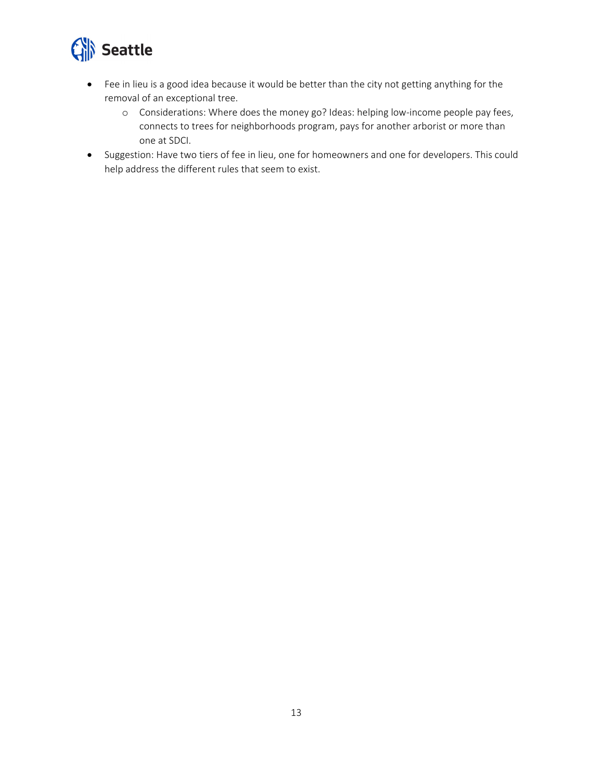

- Fee in lieu is a good idea because it would be better than the city not getting anything for the removal of an exceptional tree.
	- o Considerations: Where does the money go? Ideas: helping low‐income people pay fees, connects to trees for neighborhoods program, pays for another arborist or more than one at SDCI.
- Suggestion: Have two tiers of fee in lieu, one for homeowners and one for developers. This could help address the different rules that seem to exist.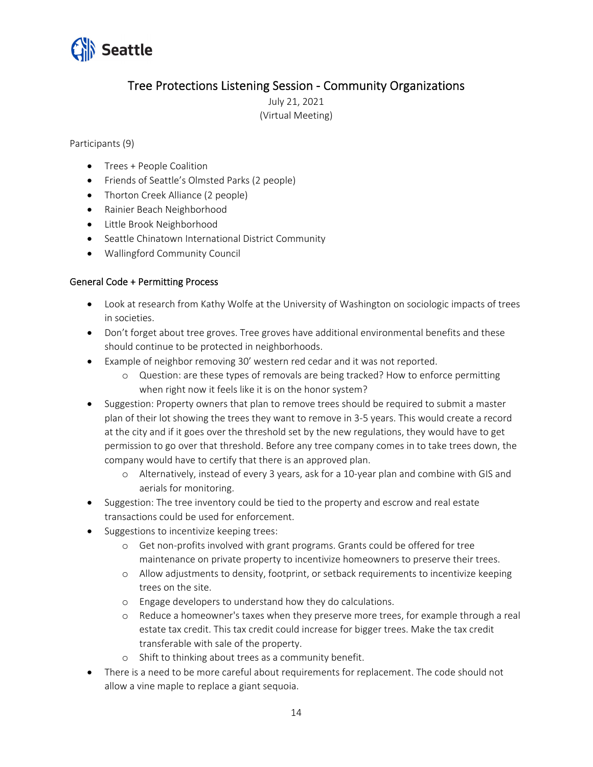

## Tree Protections Listening Session ‐ Community Organizations

July 21, 2021 (Virtual Meeting)

#### Participants (9)

- Trees + People Coalition
- Friends of Seattle's Olmsted Parks (2 people)
- Thorton Creek Alliance (2 people)
- Rainier Beach Neighborhood
- Little Brook Neighborhood
- Seattle Chinatown International District Community
- Wallingford Community Council

#### General Code + Permitting Process

- Look at research from Kathy Wolfe at the University of Washington on sociologic impacts of trees in societies.
- Don't forget about tree groves. Tree groves have additional environmental benefits and these should continue to be protected in neighborhoods.
- Example of neighbor removing 30' western red cedar and it was not reported.
	- o Question: are these types of removals are being tracked? How to enforce permitting when right now it feels like it is on the honor system?
- Suggestion: Property owners that plan to remove trees should be required to submit a master plan of their lot showing the trees they want to remove in 3‐5 years. This would create a record at the city and if it goes over the threshold set by the new regulations, they would have to get permission to go over that threshold. Before any tree company comes in to take trees down, the company would have to certify that there is an approved plan.
	- o Alternatively, instead of every 3 years, ask for a 10‐year plan and combine with GIS and aerials for monitoring.
- Suggestion: The tree inventory could be tied to the property and escrow and real estate transactions could be used for enforcement.
- Suggestions to incentivize keeping trees:
	- o Get non‐profits involved with grant programs. Grants could be offered for tree maintenance on private property to incentivize homeowners to preserve their trees.
	- o Allow adjustments to density, footprint, or setback requirements to incentivize keeping trees on the site.
	- o Engage developers to understand how they do calculations.
	- o Reduce a homeowner's taxes when they preserve more trees, for example through a real estate tax credit. This tax credit could increase for bigger trees. Make the tax credit transferable with sale of the property.
	- o Shift to thinking about trees as a community benefit.
- There is a need to be more careful about requirements for replacement. The code should not allow a vine maple to replace a giant sequoia.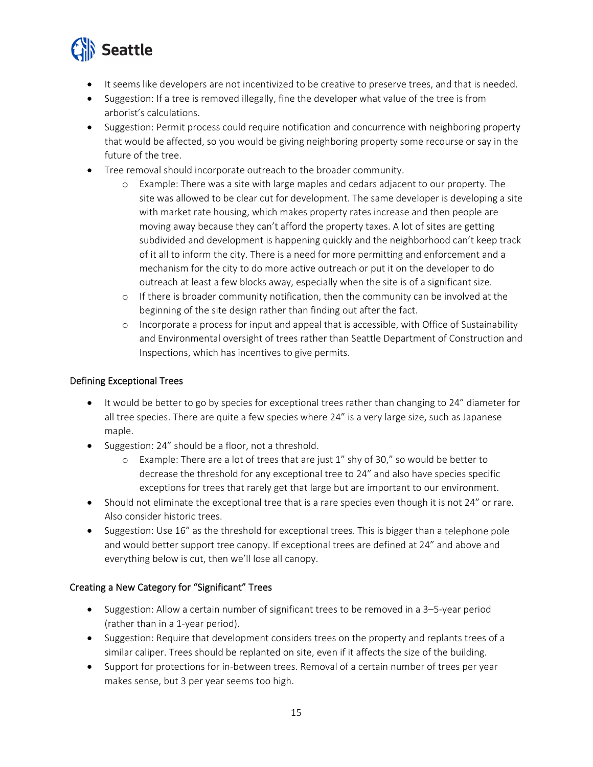

- It seems like developers are not incentivized to be creative to preserve trees, and that is needed.
- Suggestion: If a tree is removed illegally, fine the developer what value of the tree is from arborist's calculations.
- Suggestion: Permit process could require notification and concurrence with neighboring property that would be affected, so you would be giving neighboring property some recourse or say in the future of the tree.
- Tree removal should incorporate outreach to the broader community.
	- o Example: There was a site with large maples and cedars adjacent to our property. The site was allowed to be clear cut for development. The same developer is developing a site with market rate housing, which makes property rates increase and then people are moving away because they can't afford the property taxes. A lot of sites are getting subdivided and development is happening quickly and the neighborhood can't keep track of it all to inform the city. There is a need for more permitting and enforcement and a mechanism for the city to do more active outreach or put it on the developer to do outreach at least a few blocks away, especially when the site is of a significant size.
	- $\circ$  If there is broader community notification, then the community can be involved at the beginning of the site design rather than finding out after the fact.
	- o Incorporate a process for input and appeal that is accessible, with Office of Sustainability and Environmental oversight of trees rather than Seattle Department of Construction and Inspections, which has incentives to give permits.

#### Defining Exceptional Trees

- It would be better to go by species for exceptional trees rather than changing to 24" diameter for all tree species. There are quite a few species where 24" is a very large size, such as Japanese maple.
- Suggestion: 24" should be a floor, not a threshold.
	- o Example: There are a lot of trees that are just 1" shy of 30," so would be better to decrease the threshold for any exceptional tree to 24" and also have species specific exceptions for trees that rarely get that large but are important to our environment.
- Should not eliminate the exceptional tree that is a rare species even though it is not 24" or rare. Also consider historic trees.
- Suggestion: Use 16" as the threshold for exceptional trees. This is bigger than a telephone pole and would better support tree canopy. If exceptional trees are defined at 24" and above and everything below is cut, then we'll lose all canopy.

#### Creating a New Category for "Significant" Trees

- Suggestion: Allow a certain number of significant trees to be removed in a 3–5-year period (rather than in a 1‐year period).
- Suggestion: Require that development considers trees on the property and replants trees of a similar caliper. Trees should be replanted on site, even if it affects the size of the building.
- Support for protections for in-between trees. Removal of a certain number of trees per year makes sense, but 3 per year seems too high.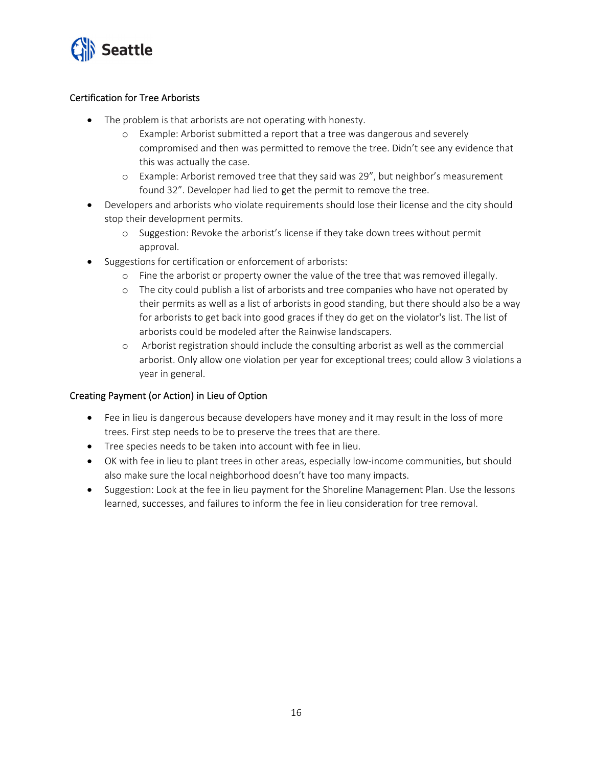

#### Certification for Tree Arborists

- The problem is that arborists are not operating with honesty.
	- o Example: Arborist submitted a report that a tree was dangerous and severely compromised and then was permitted to remove the tree. Didn't see any evidence that this was actually the case.
	- o Example: Arborist removed tree that they said was 29", but neighbor's measurement found 32". Developer had lied to get the permit to remove the tree.
- Developers and arborists who violate requirements should lose their license and the city should stop their development permits.
	- o Suggestion: Revoke the arborist's license if they take down trees without permit approval.
- Suggestions for certification or enforcement of arborists:
	- o Fine the arborist or property owner the value of the tree that was removed illegally.
	- o The city could publish a list of arborists and tree companies who have not operated by their permits as well as a list of arborists in good standing, but there should also be a way for arborists to get back into good graces if they do get on the violator's list. The list of arborists could be modeled after the Rainwise landscapers.
	- o Arborist registration should include the consulting arborist as well as the commercial arborist. Only allow one violation per year for exceptional trees; could allow 3 violations a year in general.

#### Creating Payment (or Action) in Lieu of Option

- Fee in lieu is dangerous because developers have money and it may result in the loss of more trees. First step needs to be to preserve the trees that are there.
- Tree species needs to be taken into account with fee in lieu.
- OK with fee in lieu to plant trees in other areas, especially low-income communities, but should also make sure the local neighborhood doesn't have too many impacts.
- Suggestion: Look at the fee in lieu payment for the Shoreline Management Plan. Use the lessons learned, successes, and failures to inform the fee in lieu consideration for tree removal.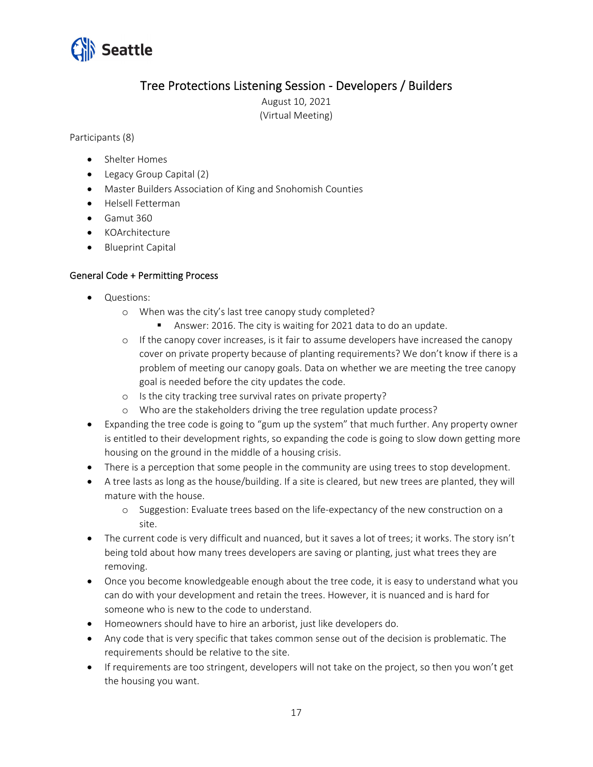

## Tree Protections Listening Session ‐ Developers / Builders

August 10, 2021 (Virtual Meeting)

Participants (8)

- Shelter Homes
- Legacy Group Capital (2)
- Master Builders Association of King and Snohomish Counties
- Helsell Fetterman
- $\bullet$  Gamut 360
- KOArchitecture
- Blueprint Capital

#### General Code + Permitting Process

- Questions:
	- o When was the city's last tree canopy study completed?
		- Answer: 2016. The city is waiting for 2021 data to do an update.
	- $\circ$  If the canopy cover increases, is it fair to assume developers have increased the canopy cover on private property because of planting requirements? We don't know if there is a problem of meeting our canopy goals. Data on whether we are meeting the tree canopy goal is needed before the city updates the code.
	- o Is the city tracking tree survival rates on private property?
	- o Who are the stakeholders driving the tree regulation update process?
- Expanding the tree code is going to "gum up the system" that much further. Any property owner is entitled to their development rights, so expanding the code is going to slow down getting more housing on the ground in the middle of a housing crisis.
- There is a perception that some people in the community are using trees to stop development.
- A tree lasts as long as the house/building. If a site is cleared, but new trees are planted, they will mature with the house.
	- o Suggestion: Evaluate trees based on the life‐expectancy of the new construction on a site.
- The current code is very difficult and nuanced, but it saves a lot of trees; it works. The story isn't being told about how many trees developers are saving or planting, just what trees they are removing.
- Once you become knowledgeable enough about the tree code, it is easy to understand what you can do with your development and retain the trees. However, it is nuanced and is hard for someone who is new to the code to understand.
- Homeowners should have to hire an arborist, just like developers do.
- Any code that is very specific that takes common sense out of the decision is problematic. The requirements should be relative to the site.
- If requirements are too stringent, developers will not take on the project, so then you won't get the housing you want.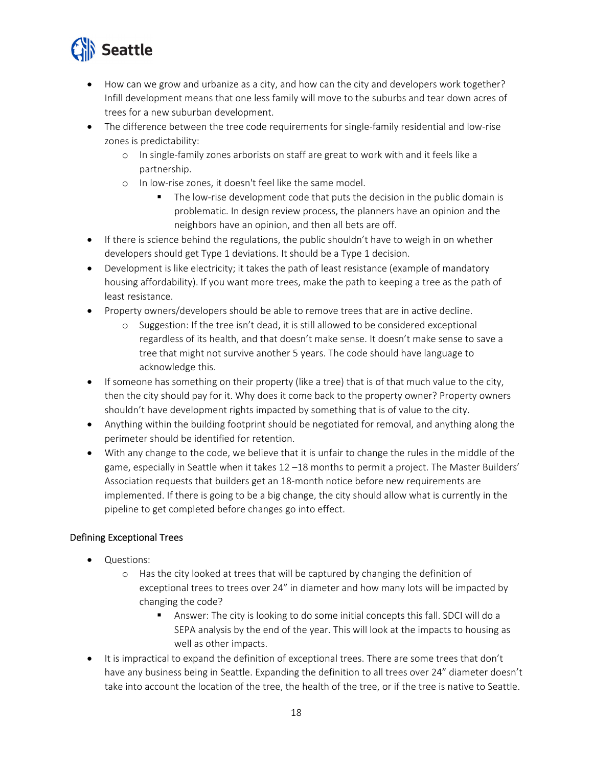

- How can we grow and urbanize as a city, and how can the city and developers work together? Infill development means that one less family will move to the suburbs and tear down acres of trees for a new suburban development.
- The difference between the tree code requirements for single-family residential and low-rise zones is predictability:
	- o In single‐family zones arborists on staff are great to work with and it feels like a partnership.
	- o In low‐rise zones, it doesn't feel like the same model.
		- The low-rise development code that puts the decision in the public domain is problematic. In design review process, the planners have an opinion and the neighbors have an opinion, and then all bets are off.
- If there is science behind the regulations, the public shouldn't have to weigh in on whether developers should get Type 1 deviations. It should be a Type 1 decision.
- Development is like electricity; it takes the path of least resistance (example of mandatory housing affordability). If you want more trees, make the path to keeping a tree as the path of least resistance.
- Property owners/developers should be able to remove trees that are in active decline.
	- o Suggestion: If the tree isn't dead, it is still allowed to be considered exceptional regardless of its health, and that doesn't make sense. It doesn't make sense to save a tree that might not survive another 5 years. The code should have language to acknowledge this.
- If someone has something on their property (like a tree) that is of that much value to the city, then the city should pay for it. Why does it come back to the property owner? Property owners shouldn't have development rights impacted by something that is of value to the city.
- Anything within the building footprint should be negotiated for removal, and anything along the perimeter should be identified for retention.
- With any change to the code, we believe that it is unfair to change the rules in the middle of the game, especially in Seattle when it takes 12 –18 months to permit a project. The Master Builders' Association requests that builders get an 18‐month notice before new requirements are implemented. If there is going to be a big change, the city should allow what is currently in the pipeline to get completed before changes go into effect.

#### Defining Exceptional Trees

- Questions:
	- o Has the city looked at trees that will be captured by changing the definition of exceptional trees to trees over 24" in diameter and how many lots will be impacted by changing the code?
		- Answer: The city is looking to do some initial concepts this fall. SDCI will do a SEPA analysis by the end of the year. This will look at the impacts to housing as well as other impacts.
- It is impractical to expand the definition of exceptional trees. There are some trees that don't have any business being in Seattle. Expanding the definition to all trees over 24" diameter doesn't take into account the location of the tree, the health of the tree, or if the tree is native to Seattle.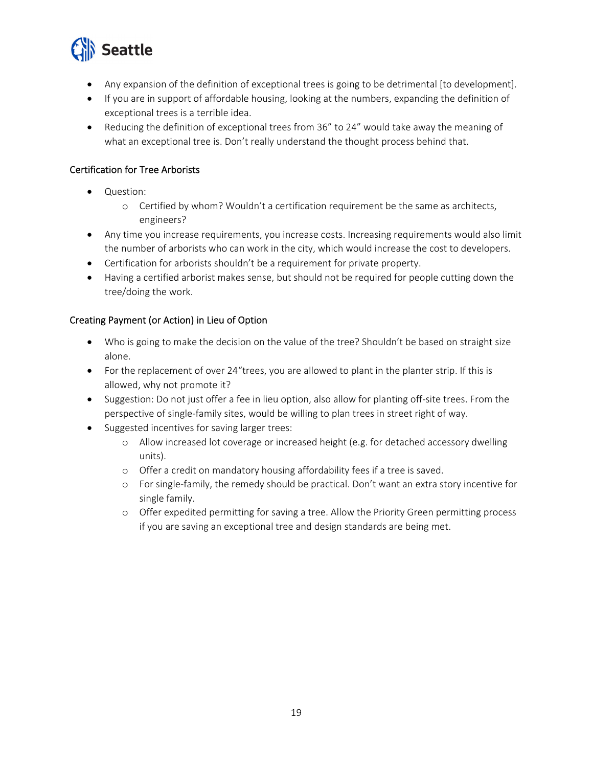

- Any expansion of the definition of exceptional trees is going to be detrimental [to development].
- If you are in support of affordable housing, looking at the numbers, expanding the definition of exceptional trees is a terrible idea.
- Reducing the definition of exceptional trees from 36" to 24" would take away the meaning of what an exceptional tree is. Don't really understand the thought process behind that.

#### Certification for Tree Arborists

- Question:
	- o Certified by whom? Wouldn't a certification requirement be the same as architects, engineers?
- Any time you increase requirements, you increase costs. Increasing requirements would also limit the number of arborists who can work in the city, which would increase the cost to developers.
- Certification for arborists shouldn't be a requirement for private property.
- Having a certified arborist makes sense, but should not be required for people cutting down the tree/doing the work.

#### Creating Payment (or Action) in Lieu of Option

- Who is going to make the decision on the value of the tree? Shouldn't be based on straight size alone.
- For the replacement of over 24"trees, you are allowed to plant in the planter strip. If this is allowed, why not promote it?
- Suggestion: Do not just offer a fee in lieu option, also allow for planting off-site trees. From the perspective of single‐family sites, would be willing to plan trees in street right of way.
- Suggested incentives for saving larger trees:
	- o Allow increased lot coverage or increased height (e.g. for detached accessory dwelling units).
	- o Offer a credit on mandatory housing affordability fees if a tree is saved.
	- o For single‐family, the remedy should be practical. Don't want an extra story incentive for single family.
	- o Offer expedited permitting for saving a tree. Allow the Priority Green permitting process if you are saving an exceptional tree and design standards are being met.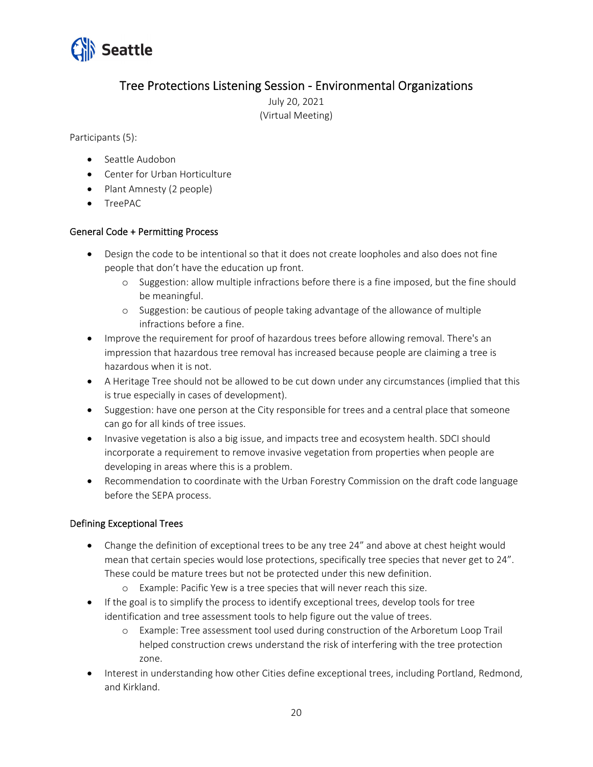

## Tree Protections Listening Session ‐ Environmental Organizations

July 20, 2021 (Virtual Meeting)

Participants (5):

- Seattle Audobon
- Center for Urban Horticulture
- Plant Amnesty (2 people)
- TreePAC

#### General Code + Permitting Process

- Design the code to be intentional so that it does not create loopholes and also does not fine people that don't have the education up front.
	- o Suggestion: allow multiple infractions before there is a fine imposed, but the fine should be meaningful.
	- o Suggestion: be cautious of people taking advantage of the allowance of multiple infractions before a fine.
- Improve the requirement for proof of hazardous trees before allowing removal. There's an impression that hazardous tree removal has increased because people are claiming a tree is hazardous when it is not.
- A Heritage Tree should not be allowed to be cut down under any circumstances (implied that this is true especially in cases of development).
- Suggestion: have one person at the City responsible for trees and a central place that someone can go for all kinds of tree issues.
- Invasive vegetation is also a big issue, and impacts tree and ecosystem health. SDCI should incorporate a requirement to remove invasive vegetation from properties when people are developing in areas where this is a problem.
- Recommendation to coordinate with the Urban Forestry Commission on the draft code language before the SEPA process.

#### Defining Exceptional Trees

- Change the definition of exceptional trees to be any tree 24" and above at chest height would mean that certain species would lose protections, specifically tree species that never get to 24". These could be mature trees but not be protected under this new definition.
	- o Example: Pacific Yew is a tree species that will never reach this size.
- If the goal is to simplify the process to identify exceptional trees, develop tools for tree identification and tree assessment tools to help figure out the value of trees.
	- o Example: Tree assessment tool used during construction of the Arboretum Loop Trail helped construction crews understand the risk of interfering with the tree protection zone.
- Interest in understanding how other Cities define exceptional trees, including Portland, Redmond, and Kirkland.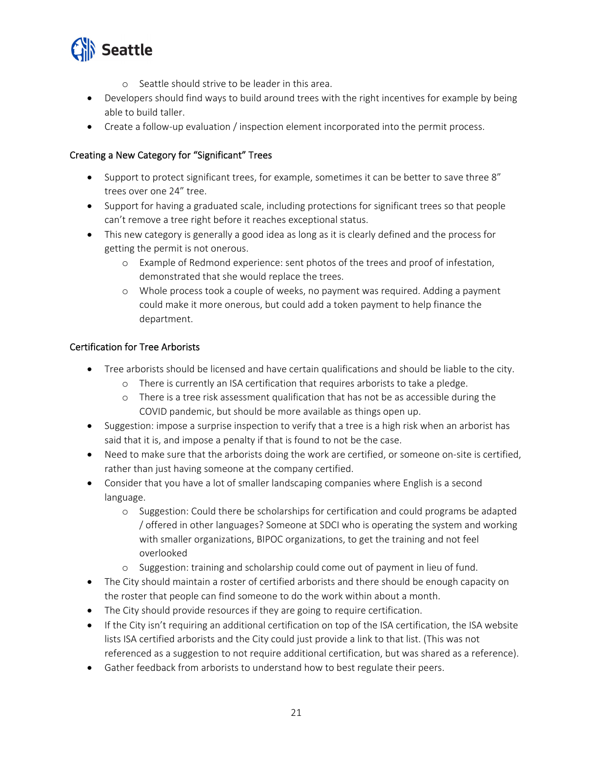

- o Seattle should strive to be leader in this area.
- Developers should find ways to build around trees with the right incentives for example by being able to build taller.
- Create a follow-up evaluation / inspection element incorporated into the permit process.

#### Creating a New Category for "Significant" Trees

- Support to protect significant trees, for example, sometimes it can be better to save three 8" trees over one 24" tree.
- Support for having a graduated scale, including protections for significant trees so that people can't remove a tree right before it reaches exceptional status.
- This new category is generally a good idea as long as it is clearly defined and the process for getting the permit is not onerous.
	- o Example of Redmond experience: sent photos of the trees and proof of infestation, demonstrated that she would replace the trees.
	- o Whole process took a couple of weeks, no payment was required. Adding a payment could make it more onerous, but could add a token payment to help finance the department.

#### Certification for Tree Arborists

- Tree arborists should be licensed and have certain qualifications and should be liable to the city.
	- o There is currently an ISA certification that requires arborists to take a pledge.
	- o There is a tree risk assessment qualification that has not be as accessible during the COVID pandemic, but should be more available as things open up.
- Suggestion: impose a surprise inspection to verify that a tree is a high risk when an arborist has said that it is, and impose a penalty if that is found to not be the case.
- Need to make sure that the arborists doing the work are certified, or someone on-site is certified, rather than just having someone at the company certified.
- Consider that you have a lot of smaller landscaping companies where English is a second language.
	- o Suggestion: Could there be scholarships for certification and could programs be adapted / offered in other languages? Someone at SDCI who is operating the system and working with smaller organizations, BIPOC organizations, to get the training and not feel overlooked
	- o Suggestion: training and scholarship could come out of payment in lieu of fund.
- The City should maintain a roster of certified arborists and there should be enough capacity on the roster that people can find someone to do the work within about a month.
- The City should provide resources if they are going to require certification.
- If the City isn't requiring an additional certification on top of the ISA certification, the ISA website lists ISA certified arborists and the City could just provide a link to that list. (This was not referenced as a suggestion to not require additional certification, but was shared as a reference).
- Gather feedback from arborists to understand how to best regulate their peers.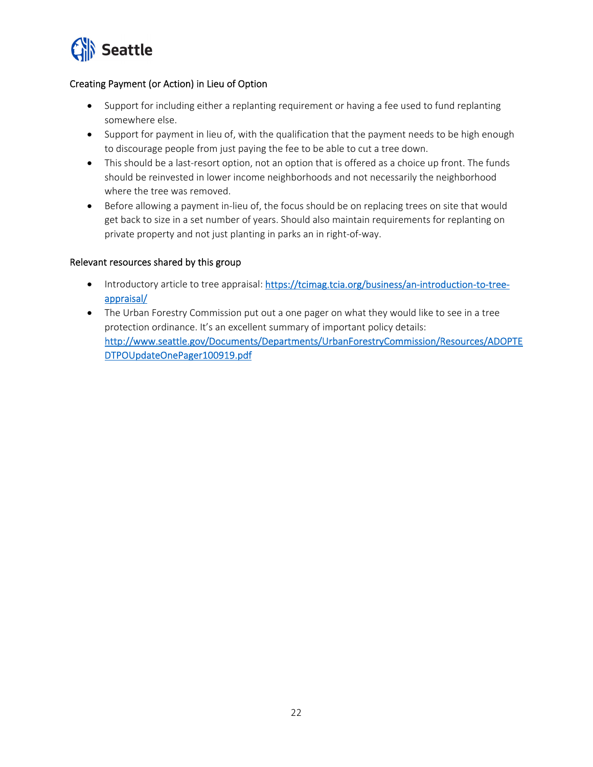

#### Creating Payment (or Action) in Lieu of Option

- Support for including either a replanting requirement or having a fee used to fund replanting somewhere else.
- Support for payment in lieu of, with the qualification that the payment needs to be high enough to discourage people from just paying the fee to be able to cut a tree down.
- This should be a last-resort option, not an option that is offered as a choice up front. The funds should be reinvested in lower income neighborhoods and not necessarily the neighborhood where the tree was removed.
- Before allowing a payment in-lieu of, the focus should be on replacing trees on site that would get back to size in a set number of years. Should also maintain requirements for replanting on private property and not just planting in parks an in right‐of‐way.

#### Relevant resources shared by this group

- Introductory article to tree appraisal: https://tcimag.tcia.org/business/an-introduction-to-treeappraisal/
- The Urban Forestry Commission put out a one pager on what they would like to see in a tree protection ordinance. It's an excellent summary of important policy details: http://www.seattle.gov/Documents/Departments/UrbanForestryCommission/Resources/ADOPTE DTPOUpdateOnePager100919.pdf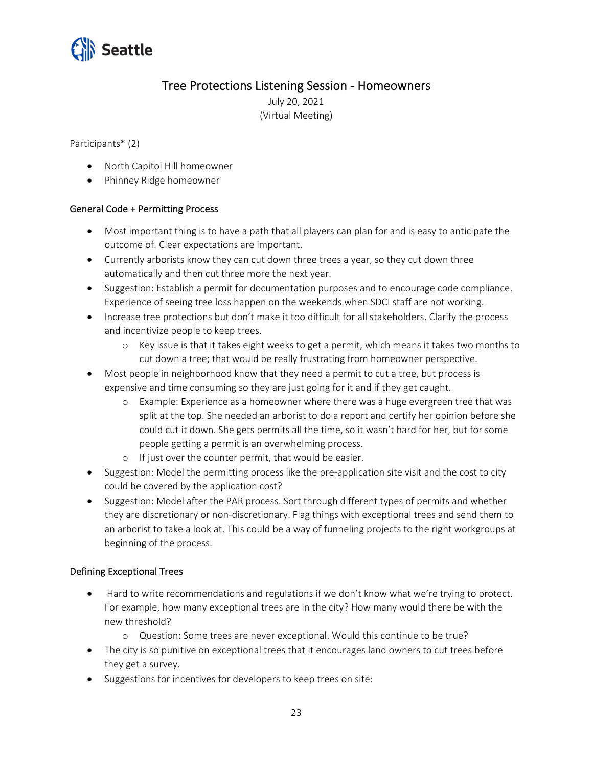

## Tree Protections Listening Session ‐ Homeowners

July 20, 2021 (Virtual Meeting)

Participants\* (2)

- North Capitol Hill homeowner
- Phinney Ridge homeowner

#### General Code + Permitting Process

- Most important thing is to have a path that all players can plan for and is easy to anticipate the outcome of. Clear expectations are important.
- Currently arborists know they can cut down three trees a year, so they cut down three automatically and then cut three more the next year.
- Suggestion: Establish a permit for documentation purposes and to encourage code compliance. Experience of seeing tree loss happen on the weekends when SDCI staff are not working.
- Increase tree protections but don't make it too difficult for all stakeholders. Clarify the process and incentivize people to keep trees.
	- o Key issue is that it takes eight weeks to get a permit, which means it takes two months to cut down a tree; that would be really frustrating from homeowner perspective.
- Most people in neighborhood know that they need a permit to cut a tree, but process is expensive and time consuming so they are just going for it and if they get caught.
	- o Example: Experience as a homeowner where there was a huge evergreen tree that was split at the top. She needed an arborist to do a report and certify her opinion before she could cut it down. She gets permits all the time, so it wasn't hard for her, but for some people getting a permit is an overwhelming process.
	- o If just over the counter permit, that would be easier.
- Suggestion: Model the permitting process like the pre-application site visit and the cost to city could be covered by the application cost?
- Suggestion: Model after the PAR process. Sort through different types of permits and whether they are discretionary or non‐discretionary. Flag things with exceptional trees and send them to an arborist to take a look at. This could be a way of funneling projects to the right workgroups at beginning of the process.

#### Defining Exceptional Trees

- Hard to write recommendations and regulations if we don't know what we're trying to protect. For example, how many exceptional trees are in the city? How many would there be with the new threshold?
	- o Question: Some trees are never exceptional. Would this continue to be true?
- The city is so punitive on exceptional trees that it encourages land owners to cut trees before they get a survey.
- Suggestions for incentives for developers to keep trees on site: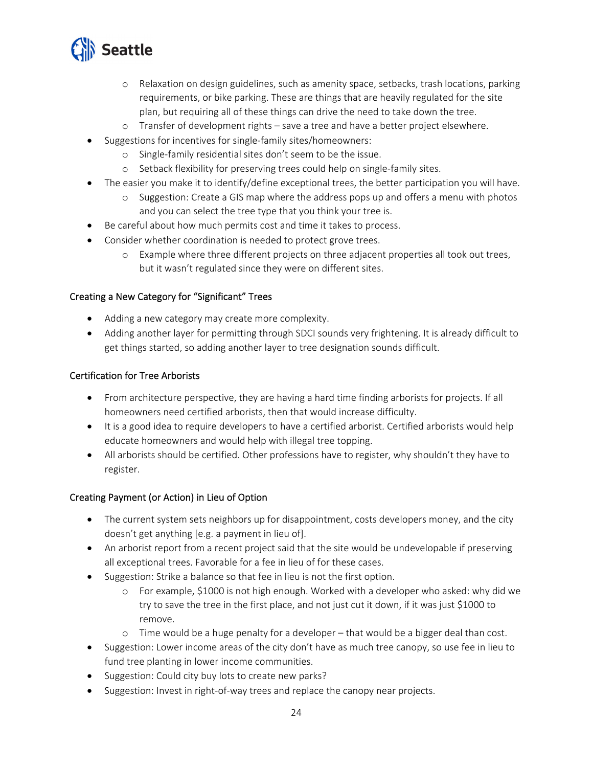

- o Relaxation on design guidelines, such as amenity space, setbacks, trash locations, parking requirements, or bike parking. These are things that are heavily regulated for the site plan, but requiring all of these things can drive the need to take down the tree.
- o Transfer of development rights save a tree and have a better project elsewhere.
- Suggestions for incentives for single-family sites/homeowners:
	- o Single‐family residential sites don't seem to be the issue.
	- o Setback flexibility for preserving trees could help on single‐family sites.
- The easier you make it to identify/define exceptional trees, the better participation you will have.
	- o Suggestion: Create a GIS map where the address pops up and offers a menu with photos and you can select the tree type that you think your tree is.
- Be careful about how much permits cost and time it takes to process.
- Consider whether coordination is needed to protect grove trees.
	- o Example where three different projects on three adjacent properties all took out trees, but it wasn't regulated since they were on different sites.

#### Creating a New Category for "Significant" Trees

- Adding a new category may create more complexity.
- Adding another layer for permitting through SDCI sounds very frightening. It is already difficult to get things started, so adding another layer to tree designation sounds difficult.

#### Certification for Tree Arborists

- From architecture perspective, they are having a hard time finding arborists for projects. If all homeowners need certified arborists, then that would increase difficulty.
- It is a good idea to require developers to have a certified arborist. Certified arborists would help educate homeowners and would help with illegal tree topping.
- All arborists should be certified. Other professions have to register, why shouldn't they have to register.

#### Creating Payment (or Action) in Lieu of Option

- The current system sets neighbors up for disappointment, costs developers money, and the city doesn't get anything [e.g. a payment in lieu of].
- An arborist report from a recent project said that the site would be undevelopable if preserving all exceptional trees. Favorable for a fee in lieu of for these cases.
- Suggestion: Strike a balance so that fee in lieu is not the first option.
	- o For example, \$1000 is not high enough. Worked with a developer who asked: why did we try to save the tree in the first place, and not just cut it down, if it was just \$1000 to remove.
	- o Time would be a huge penalty for a developer that would be a bigger deal than cost.
- Suggestion: Lower income areas of the city don't have as much tree canopy, so use fee in lieu to fund tree planting in lower income communities.
- Suggestion: Could city buy lots to create new parks?
- Suggestion: Invest in right-of-way trees and replace the canopy near projects.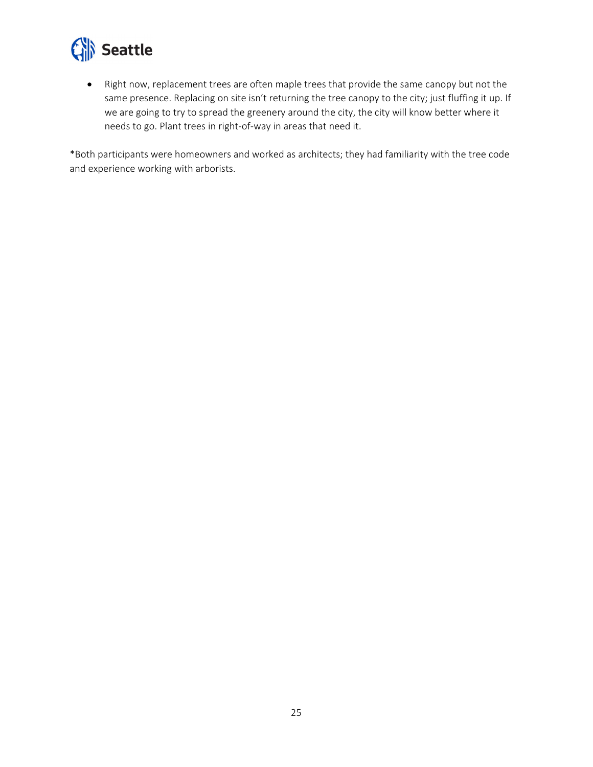

 Right now, replacement trees are often maple trees that provide the same canopy but not the same presence. Replacing on site isn't returning the tree canopy to the city; just fluffing it up. If we are going to try to spread the greenery around the city, the city will know better where it needs to go. Plant trees in right‐of‐way in areas that need it.

\*Both participants were homeowners and worked as architects; they had familiarity with the tree code and experience working with arborists.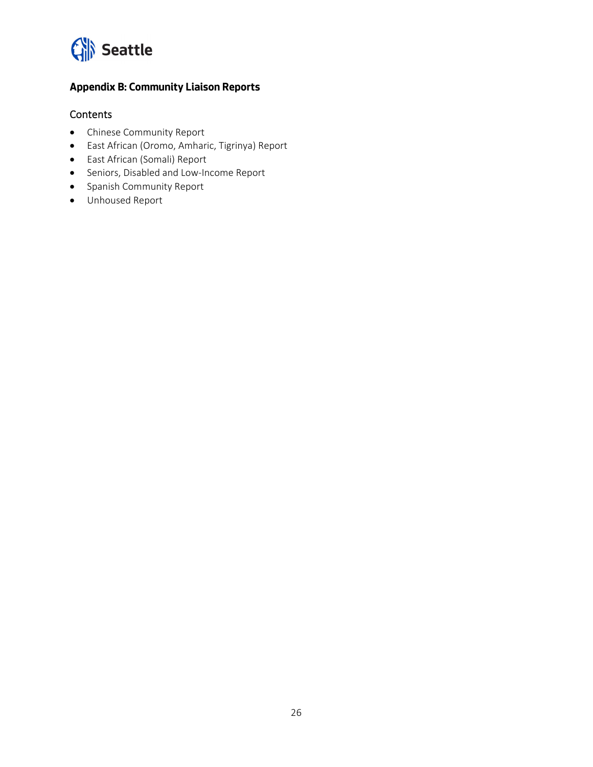

### **Appendix B: Community Liaison Reports**

#### **Contents**

- Chinese Community Report
- East African (Oromo, Amharic, Tigrinya) Report
- East African (Somali) Report
- Seniors, Disabled and Low-Income Report
- Spanish Community Report
- Unhoused Report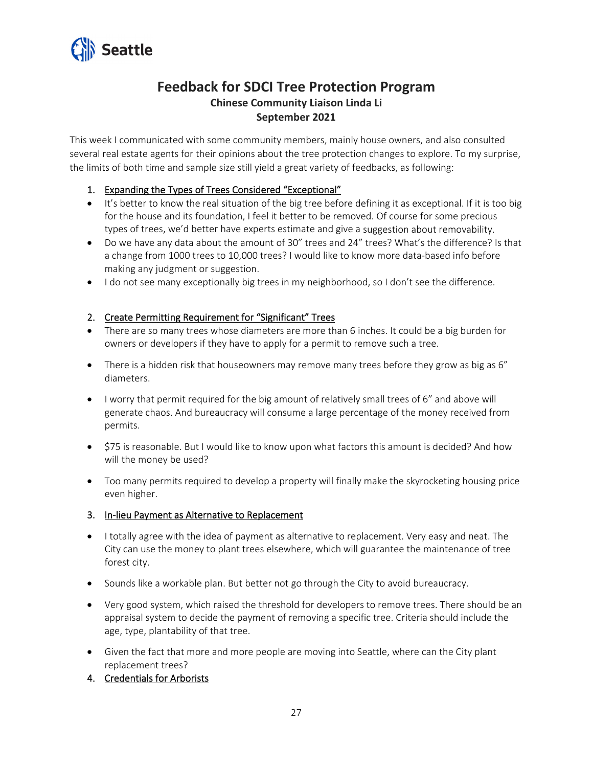

## **Feedback for SDCI Tree Protection Program Chinese Community Liaison Linda Li September 2021**

This week I communicated with some community members, mainly house owners, and also consulted several real estate agents for their opinions about the tree protection changes to explore. To my surprise, the limits of both time and sample size still yield a great variety of feedbacks, as following:

#### 1. Expanding the Types of Trees Considered "Exceptional"

- It's better to know the real situation of the big tree before defining it as exceptional. If it is too big for the house and its foundation, I feel it better to be removed. Of course for some precious types of trees, we'd better have experts estimate and give a suggestion about removability.
- Do we have any data about the amount of 30" trees and 24" trees? What's the difference? Is that a change from 1000 trees to 10,000 trees? I would like to know more data‐based info before making any judgment or suggestion.
- I do not see many exceptionally big trees in my neighborhood, so I don't see the difference.

#### 2. Create Permitting Requirement for "Significant" Trees

- There are so many trees whose diameters are more than 6 inches. It could be a big burden for owners or developers if they have to apply for a permit to remove such a tree.
- There is a hidden risk that houseowners may remove many trees before they grow as big as 6" diameters.
- I worry that permit required for the big amount of relatively small trees of 6" and above will generate chaos. And bureaucracy will consume a large percentage of the money received from permits.
- \$75 is reasonable. But I would like to know upon what factors this amount is decided? And how will the money be used?
- Too many permits required to develop a property will finally make the skyrocketing housing price even higher.
- 3. In-lieu Payment as Alternative to Replacement
- I totally agree with the idea of payment as alternative to replacement. Very easy and neat. The City can use the money to plant trees elsewhere, which will guarantee the maintenance of tree forest city.
- Sounds like a workable plan. But better not go through the City to avoid bureaucracy.
- Very good system, which raised the threshold for developers to remove trees. There should be an appraisal system to decide the payment of removing a specific tree. Criteria should include the age, type, plantability of that tree.
- Given the fact that more and more people are moving into Seattle, where can the City plant replacement trees?
- 4. Credentials for Arborists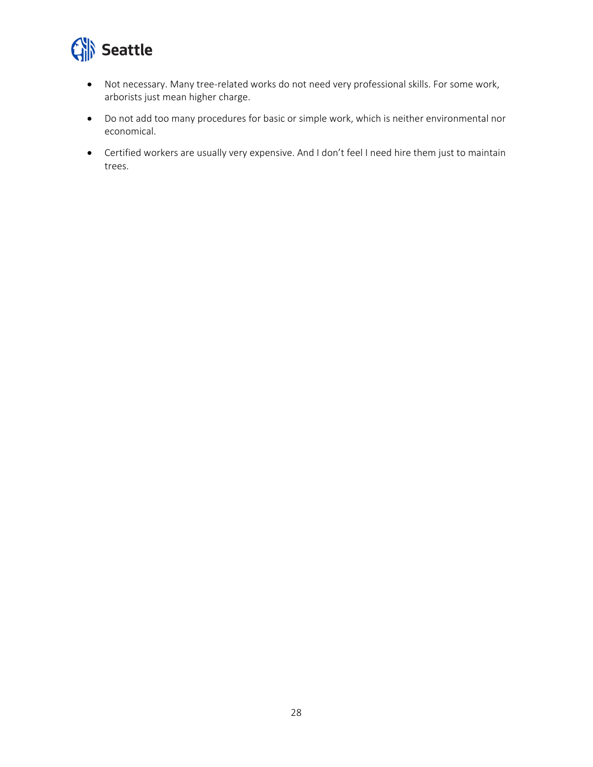

- Not necessary. Many tree‐related works do not need very professional skills. For some work, arborists just mean higher charge.
- Do not add too many procedures for basic or simple work, which is neither environmental nor economical.
- Certified workers are usually very expensive. And I don't feel I need hire them just to maintain trees.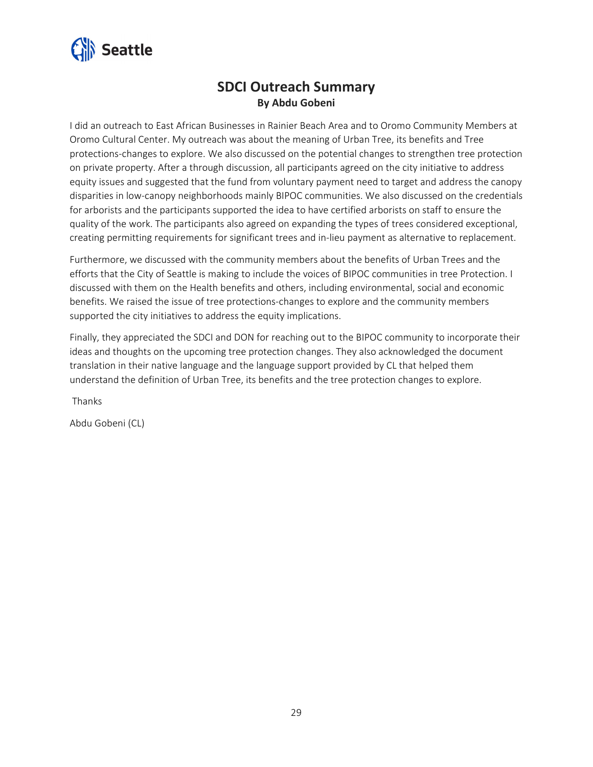

## **SDCI Outreach Summary By Abdu Gobeni**

I did an outreach to East African Businesses in Rainier Beach Area and to Oromo Community Members at Oromo Cultural Center. My outreach was about the meaning of Urban Tree, its benefits and Tree protections‐changes to explore. We also discussed on the potential changes to strengthen tree protection on private property. After a through discussion, all participants agreed on the city initiative to address equity issues and suggested that the fund from voluntary payment need to target and address the canopy disparities in low‐canopy neighborhoods mainly BIPOC communities. We also discussed on the credentials for arborists and the participants supported the idea to have certified arborists on staff to ensure the quality of the work. The participants also agreed on expanding the types of trees considered exceptional, creating permitting requirements for significant trees and in‐lieu payment as alternative to replacement.

Furthermore, we discussed with the community members about the benefits of Urban Trees and the efforts that the City of Seattle is making to include the voices of BIPOC communities in tree Protection. I discussed with them on the Health benefits and others, including environmental, social and economic benefits. We raised the issue of tree protections‐changes to explore and the community members supported the city initiatives to address the equity implications.

Finally, they appreciated the SDCI and DON for reaching out to the BIPOC community to incorporate their ideas and thoughts on the upcoming tree protection changes. They also acknowledged the document translation in their native language and the language support provided by CL that helped them understand the definition of Urban Tree, its benefits and the tree protection changes to explore.

Thanks

Abdu Gobeni (CL)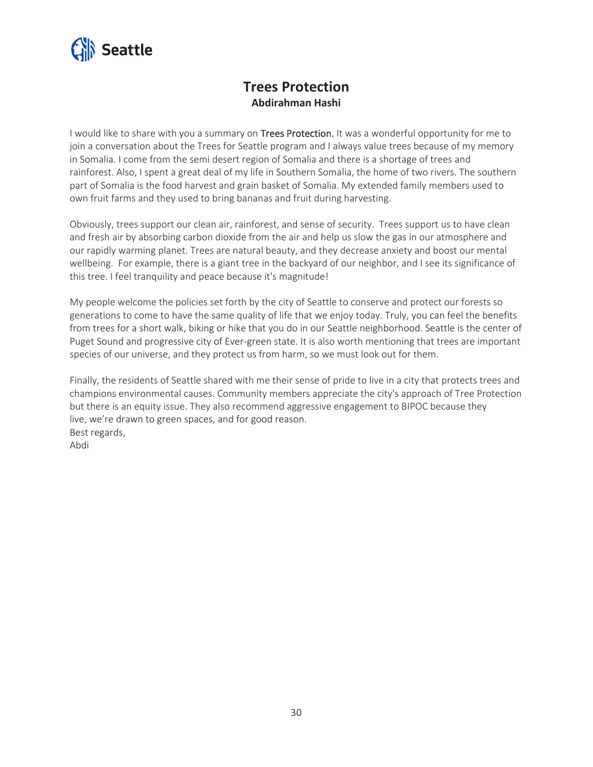

## **Trees Protection Abdirahman Hashi**

I would like to share with you a summary on Trees Protection. It was a wonderful opportunity for me to join a conversation about the Trees for Seattle program and I always value trees because of my memory in Somalia. I come from the semi desert region of Somalia and there is a shortage of trees and rainforest. Also, I spent a great deal of my life in Southern Somalia, the home of two rivers. The southern part of Somalia is the food harvest and grain basket of Somalia. My extended family members used to own fruit farms and they used to bring bananas and fruit during harvesting.

Obviously, trees support our clean air, rainforest, and sense of security. Trees support us to have clean and fresh air by absorbing carbon dioxide from the air and help us slow the gas in our atmosphere and our rapidly warming planet. Trees are natural beauty, and they decrease anxiety and boost our mental wellbeing. For example, there is a giant tree in the backyard of our neighbor, and I see its significance of this tree. I feel tranquility and peace because it's magnitude!

My people welcome the policies set forth by the city of Seattle to conserve and protect our forests so generations to come to have the same quality of life that we enjoy today. Truly, you can feel the benefits from trees for a short walk, biking or hike that you do in our Seattle neighborhood. Seattle is the center of Puget Sound and progressive city of Ever‐green state. It is also worth mentioning that trees are important species of our universe, and they protect us from harm, so we must look out for them.

Finally, the residents of Seattle shared with me their sense of pride to live in a city that protects trees and champions environmental causes. Community members appreciate the city's approach of Tree Protection but there is an equity issue. They also recommend aggressive engagement to BIPOC because they live, we're drawn to green spaces, and for good reason. Best regards, Abdi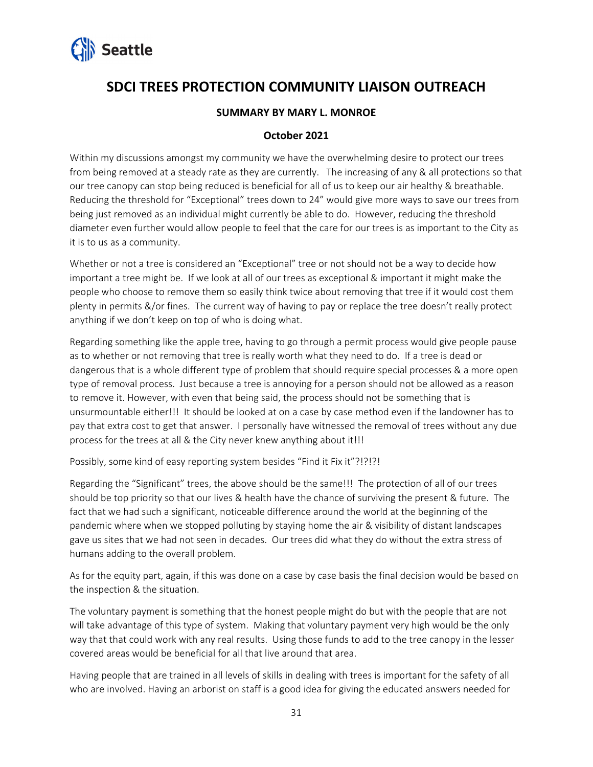

## **SDCI TREES PROTECTION COMMUNITY LIAISON OUTREACH**

#### **SUMMARY BY MARY L. MONROE**

#### **October 2021**

Within my discussions amongst my community we have the overwhelming desire to protect our trees from being removed at a steady rate as they are currently. The increasing of any & all protections so that our tree canopy can stop being reduced is beneficial for all of us to keep our air healthy & breathable. Reducing the threshold for "Exceptional" trees down to 24" would give more ways to save our trees from being just removed as an individual might currently be able to do. However, reducing the threshold diameter even further would allow people to feel that the care for our trees is as important to the City as it is to us as a community.

Whether or not a tree is considered an "Exceptional" tree or not should not be a way to decide how important a tree might be. If we look at all of our trees as exceptional & important it might make the people who choose to remove them so easily think twice about removing that tree if it would cost them plenty in permits &/or fines. The current way of having to pay or replace the tree doesn't really protect anything if we don't keep on top of who is doing what.

Regarding something like the apple tree, having to go through a permit process would give people pause as to whether or not removing that tree is really worth what they need to do. If a tree is dead or dangerous that is a whole different type of problem that should require special processes & a more open type of removal process. Just because a tree is annoying for a person should not be allowed as a reason to remove it. However, with even that being said, the process should not be something that is unsurmountable either!!! It should be looked at on a case by case method even if the landowner has to pay that extra cost to get that answer. I personally have witnessed the removal of trees without any due process for the trees at all & the City never knew anything about it!!!

Possibly, some kind of easy reporting system besides "Find it Fix it"?!?!?!

Regarding the "Significant" trees, the above should be the same!!! The protection of all of our trees should be top priority so that our lives & health have the chance of surviving the present & future. The fact that we had such a significant, noticeable difference around the world at the beginning of the pandemic where when we stopped polluting by staying home the air & visibility of distant landscapes gave us sites that we had not seen in decades. Our trees did what they do without the extra stress of humans adding to the overall problem.

As for the equity part, again, if this was done on a case by case basis the final decision would be based on the inspection & the situation.

The voluntary payment is something that the honest people might do but with the people that are not will take advantage of this type of system. Making that voluntary payment very high would be the only way that that could work with any real results. Using those funds to add to the tree canopy in the lesser covered areas would be beneficial for all that live around that area.

Having people that are trained in all levels of skills in dealing with trees is important for the safety of all who are involved. Having an arborist on staff is a good idea for giving the educated answers needed for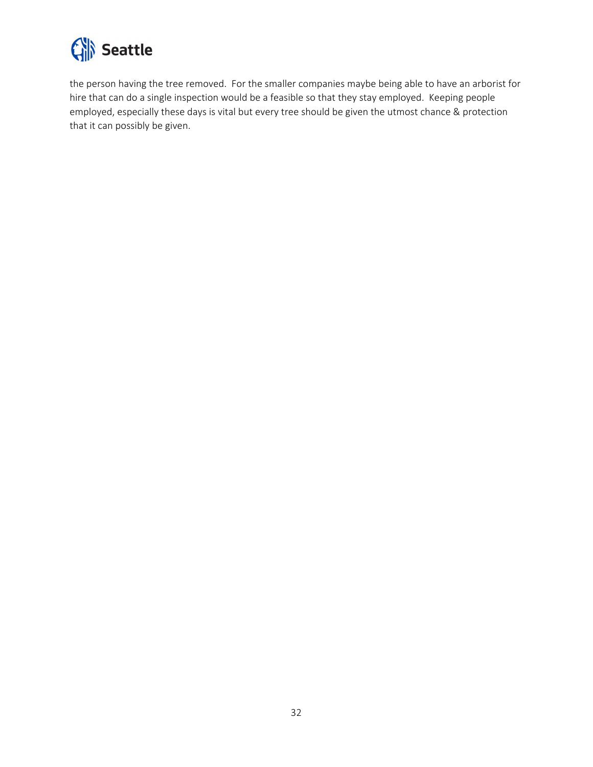

the person having the tree removed. For the smaller companies maybe being able to have an arborist for hire that can do a single inspection would be a feasible so that they stay employed. Keeping people employed, especially these days is vital but every tree should be given the utmost chance & protection that it can possibly be given.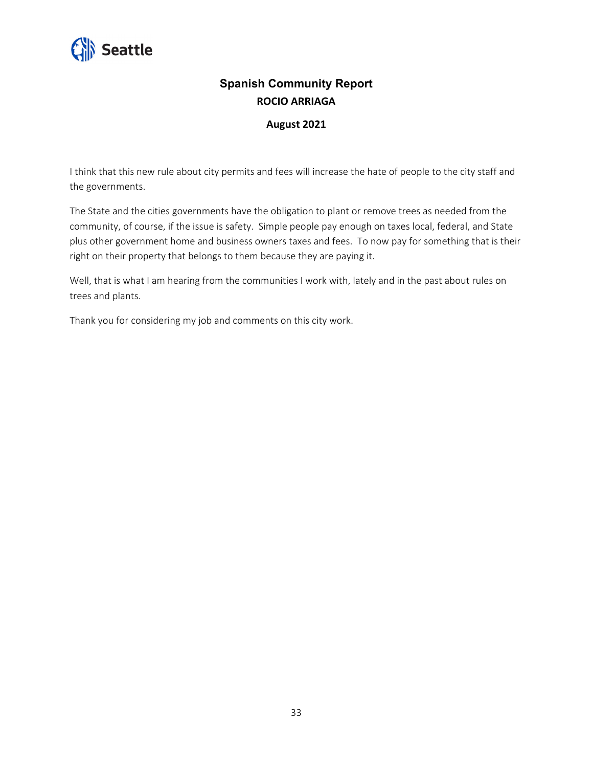

## **Spanish Community Report ROCIO ARRIAGA**

#### **August 2021**

I think that this new rule about city permits and fees will increase the hate of people to the city staff and the governments.

The State and the cities governments have the obligation to plant or remove trees as needed from the community, of course, if the issue is safety. Simple people pay enough on taxes local, federal, and State plus other government home and business owners taxes and fees. To now pay for something that is their right on their property that belongs to them because they are paying it.

Well, that is what I am hearing from the communities I work with, lately and in the past about rules on trees and plants.

Thank you for considering my job and comments on this city work.